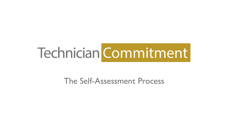# Technician Commitment

### The Self-Assessment Process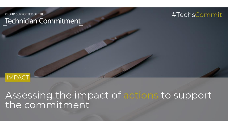#### -<br>PROUD SUPPORTER OF THE Technician Commitment

#### #TechsCommit



Assessing the impact of actions to support<br>the commitment

 $\boldsymbol{\mathscr{S}}$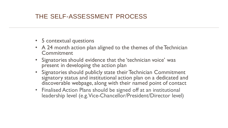#### THE SELF-ASSESSMENT PROCESS

- 5 contextual questions
- A 24 month action plan aligned to the themes of the Technician Commitment
- Signatories should evidence that the 'technician voice' was present in developing the action plan
- Signatories should publicly state their Technician Commitment signatory status and institutional action plan on a dedicated and discoverable webpage, along with their named point of contact
- Finalised Action Plans should be signed off at an institutional leadership level (e.g. Vice-Chancellor/President/Director level)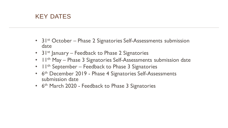#### KEY DATES

- 31<sup>st</sup> October Phase 2 Signatories Self-Assessments submission date
- 31<sup>st</sup> January Feedback to Phase 2 Signatories
- 11<sup>th</sup> May Phase 3 Signatories Self-Assessments submission date
- $11^{th}$  September Feedback to Phase 3 Signatories
- 6<sup>th</sup> December 2019 Phase 4 Signatories Self-Assessments submission date
- 6<sup>th</sup> March 2020 Feedback to Phase 3 Signatories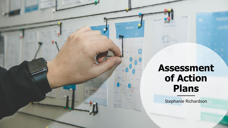

## **Assessment of Action Plans**

aproval

Stephanie Richardson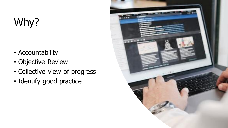# Why?

- Accountability
- Objective Review
- Collective view of progress
- Identify good practice

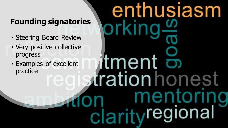## **Founding signatories**

- Steering Board Review
- Very positive collective progress
- Examples of excellent practice

# enthusiasm 'tment trationhon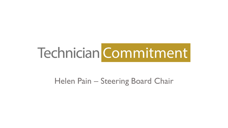# Technician Commitment

## Helen Pain – Steering Board Chair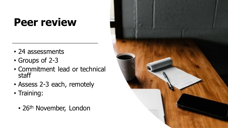# **Peer review**

- 24 assessments
- Groups of 2-3
- Commitment lead or technical staff
- Assess 2-3 each, remotely
- Training:
	- 26<sup>th</sup> November, London